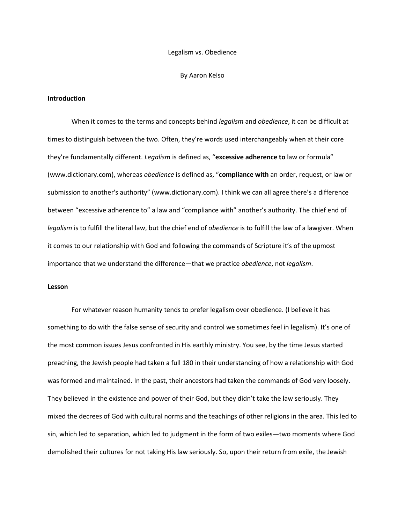#### Legalism vs. Obedience

#### By Aaron Kelso

### **Introduction**

When it comes to the terms and concepts behind *legalism* and *obedience*, it can be difficult at times to distinguish between the two. Often, they're words used interchangeably when at their core they're fundamentally different. *Legalism* is defined as, "**excessive adherence to** law or formula" (www.dictionary.com), whereas *obedience* is defined as, "**compliance with** an order, request, or law or submission to another's authority" (www.dictionary.com). I think we can all agree there's a difference between "excessive adherence to" a law and "compliance with" another's authority. The chief end of *legalism* is to fulfill the literal law, but the chief end of *obedience* is to fulfill the law of a lawgiver. When it comes to our relationship with God and following the commands of Scripture it's of the upmost importance that we understand the difference—that we practice *obedience*, not *legalism*.

## **Lesson**

For whatever reason humanity tends to prefer legalism over obedience. (I believe it has something to do with the false sense of security and control we sometimes feel in legalism). It's one of the most common issues Jesus confronted in His earthly ministry. You see, by the time Jesus started preaching, the Jewish people had taken a full 180 in their understanding of how a relationship with God was formed and maintained. In the past, their ancestors had taken the commands of God very loosely. They believed in the existence and power of their God, but they didn't take the law seriously. They mixed the decrees of God with cultural norms and the teachings of other religions in the area. This led to sin, which led to separation, which led to judgment in the form of two exiles—two moments where God demolished their cultures for not taking His law seriously. So, upon their return from exile, the Jewish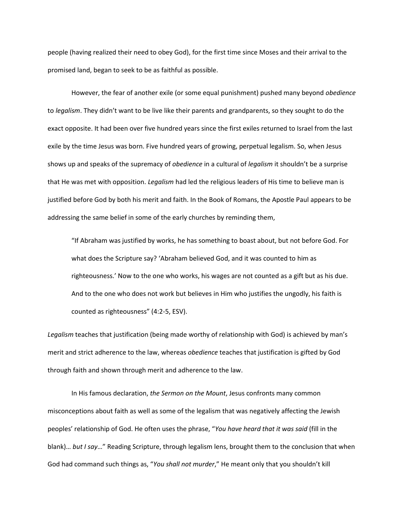people (having realized their need to obey God), for the first time since Moses and their arrival to the promised land, began to seek to be as faithful as possible.

However, the fear of another exile (or some equal punishment) pushed many beyond *obedience* to *legalism*. They didn't want to be live like their parents and grandparents, so they sought to do the exact opposite. It had been over five hundred years since the first exiles returned to Israel from the last exile by the time Jesus was born. Five hundred years of growing, perpetual legalism. So, when Jesus shows up and speaks of the supremacy of *obedience* in a cultural of *legalism* it shouldn't be a surprise that He was met with opposition. *Legalism* had led the religious leaders of His time to believe man is justified before God by both his merit and faith. In the Book of Romans, the Apostle Paul appears to be addressing the same belief in some of the early churches by reminding them,

"If Abraham was justified by works, he has something to boast about, but not before God. For what does the Scripture say? 'Abraham believed God, and it was counted to him as righteousness.' Now to the one who works, his wages are not counted as a gift but as his due. And to the one who does not work but believes in Him who justifies the ungodly, his faith is counted as righteousness" (4:2-5, ESV).

*Legalism* teaches that justification (being made worthy of relationship with God) is achieved by man's merit and strict adherence to the law, whereas *obedience* teaches that justification is gifted by God through faith and shown through merit and adherence to the law.

In His famous declaration, *the Sermon on the Mount*, Jesus confronts many common misconceptions about faith as well as some of the legalism that was negatively affecting the Jewish peoples' relationship of God. He often uses the phrase, "*You have heard that it was said* (fill in the blank)… *but I say*…" Reading Scripture, through legalism lens, brought them to the conclusion that when God had command such things as, "*You shall not murder*," He meant only that you shouldn't kill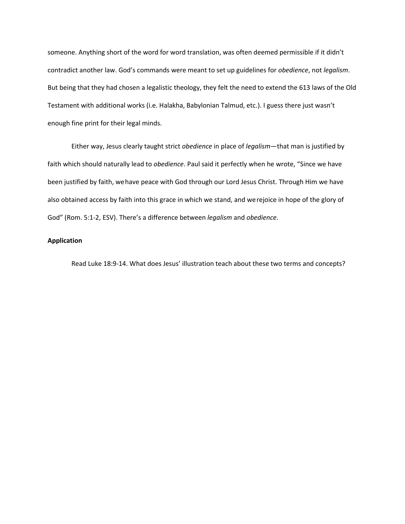someone. Anything short of the word for word translation, was often deemed permissible if it didn't contradict another law. God's commands were meant to set up guidelines for *obedience*, not *legalism*. But being that they had chosen a legalistic theology, they felt the need to extend the 613 laws of the Old Testament with additional works (i.e. Halakha, Babylonian Talmud, etc.). I guess there just wasn't enough fine print for their legal minds.

Either way, Jesus clearly taught strict *obedience* in place of *legalism*—that man is justified by faith which should naturally lead to *obedience*. Paul said it perfectly when he wrote, "Since we have been justified by faith, wehave peace with God through our Lord Jesus Christ. Through Him we have also obtained access by faith into this grace in which we stand, and werejoice in hope of the glory of God" (Rom. 5:1-2, ESV). There's a difference between *legalism* and *obedience*.

## **Application**

Read Luke 18:9-14. What does Jesus' illustration teach about these two terms and concepts?